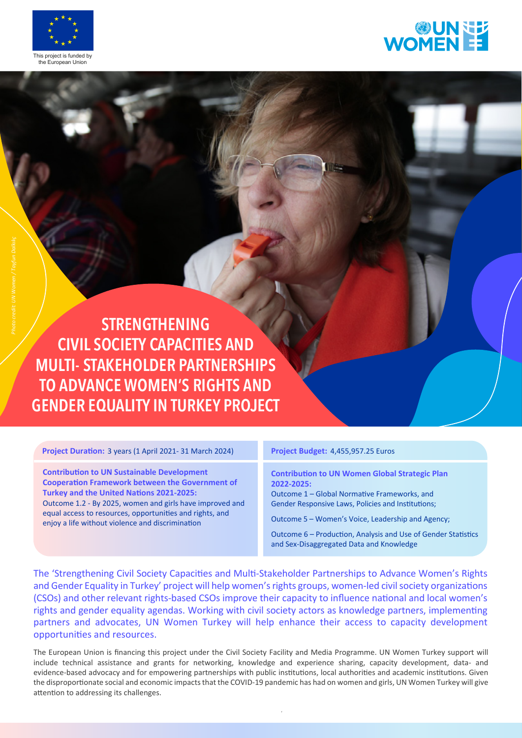



**STRENGTHENING CIVIL SOCIETY CAPACITIES AND MULTI- STAKEHOLDER PARTNERSHIPS TO ADVANCE WOMEN'S RIGHTS AND GENDER EQUALITY IN TURKEY PROJECT**

**Project Duration:** 3 years (1 April 2021- 31 March 2024)

**Contribution to UN Sustainable Development Cooperation Framework between the Government of Turkey and the United Nations 2021-2025:** Outcome 1.2 - By 2025, women and girls have improved and equal access to resources, opportunities and rights, and enjoy a life without violence and discrimination

## **Project Budget:** 4,455,957.25 Euros

**Contribution to UN Women Global Strategic Plan 2022-2025:**

Outcome 1 – Global Normative Frameworks, and Gender Responsive Laws, Policies and Institutions;

Outcome 5 – Women's Voice, Leadership and Agency;

Outcome 6 – Production, Analysis and Use of Gender Statistics and Sex-Disaggregated Data and Knowledge

The 'Strengthening Civil Society Capacities and Multi-Stakeholder Partnerships to Advance Women's Rights and Gender Equality in Turkey' project will help women's rights groups, women-led civil society organizations (CSOs) and other relevant rights-based CSOs improve their capacity to influence national and local women's rights and gender equality agendas. Working with civil society actors as knowledge partners, implementing partners and advocates, UN Women Turkey will help enhance their access to capacity development opportunities and resources.

The European Union is financing this project under the Civil Society Facility and Media Programme. UN Women Turkey support will include technical assistance and grants for networking, knowledge and experience sharing, capacity development, data- and evidence-based advocacy and for empowering partnerships with public institutions, local authorities and academic institutions. Given the disproportionate social and economic impacts that the COVID-19 pandemic has had on women and girls, UN Women Turkey will give attention to addressing its challenges.